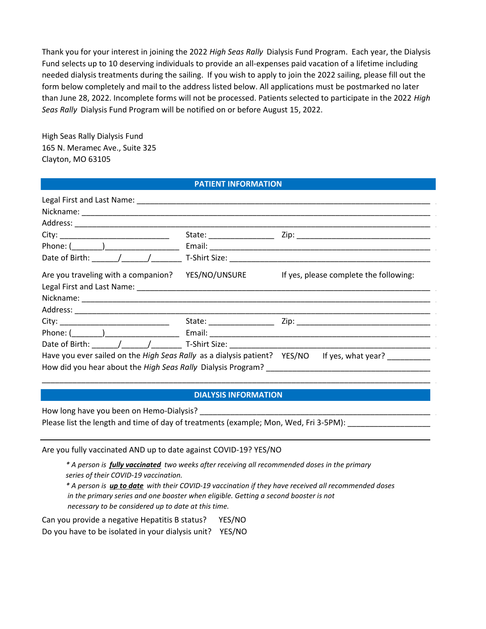Thank you for your interest in joining the 2022 *High Seas Rally* Dialysis Fund Program. Each year, the Dialysis Fund selects up to 10 deserving individuals to provide an all-expenses paid vacation of a lifetime including needed dialysis treatments during the sailing. If you wish to apply to join the 2022 sailing, please fill out the form below completely and mail to the address listed below. All applications must be postmarked no later than June 28, 2022. Incomplete forms will not be processed. Patients selected to participate in the 2022 *High Seas Rally* Dialysis Fund Program will be notified on or before August 15, 2022.

High Seas Rally Dialysis Fund 165 N. Meramec Ave., Suite 325 Clayton, MO 63105

## **PATIENT INFORMATION**

|                                                                           | State: ___________________ |                                                                     |
|---------------------------------------------------------------------------|----------------------------|---------------------------------------------------------------------|
|                                                                           |                            |                                                                     |
| Date of Birth: / /                                                        |                            |                                                                     |
| Are you traveling with a companion?                                       | YES/NO/UNSURE              | If yes, please complete the following:                              |
|                                                                           |                            |                                                                     |
|                                                                           |                            |                                                                     |
|                                                                           |                            |                                                                     |
|                                                                           | State: __________________  |                                                                     |
|                                                                           |                            |                                                                     |
|                                                                           |                            |                                                                     |
| Have you ever sailed on the High Seas Rally as a dialysis patient? YES/NO |                            | If yes, what year? ___________                                      |
|                                                                           |                            | How did you hear about the <i>High Seas Rally</i> Dialysis Program? |

## **DIALYSIS INFORMATION**

\_\_\_\_\_\_\_\_\_\_\_\_\_\_\_\_\_\_\_\_\_\_\_\_\_\_\_\_\_\_\_\_\_\_\_\_\_\_\_\_\_\_\_\_\_\_\_\_\_\_\_\_\_\_\_\_\_\_\_\_\_\_\_\_\_\_\_\_\_\_\_\_\_\_\_\_\_\_\_\_\_\_\_\_\_\_\_\_\_\_\_\_

How long have you been on Hemo-Dialysis?

Please list the length and time of day of treatments (example; Mon, Wed, Fri 3-5PM): \_\_\_\_\_\_\_\_\_\_\_\_\_\_

Are you fully vaccinated AND up to date against COVID-19? YES/NO

*\* A person is fully vaccinated two weeks after receiving all recommended doses in the primary series of their COVID-19 vaccination.*

*\* A person is up to date with their COVID-19 vaccination if they have received all recommended doses in the primary series and one booster when eligible. Getting a second booster is not necessary to be considered up to date at this time.*

Can you provide a negative Hepatitis B status? YES/NO Do you have to be isolated in your dialysis unit? YES/NO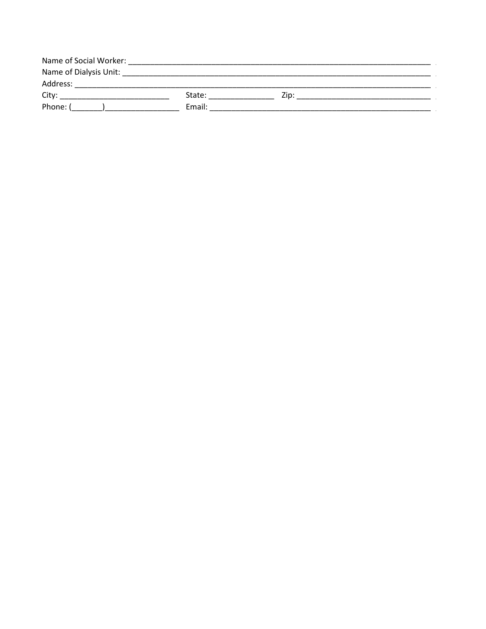| Name of Social Worker: |        |      |  |
|------------------------|--------|------|--|
| Name of Dialysis Unit: |        |      |  |
| Address:               |        |      |  |
| City:                  | State: | Zip: |  |
| Phone:                 | Email: |      |  |